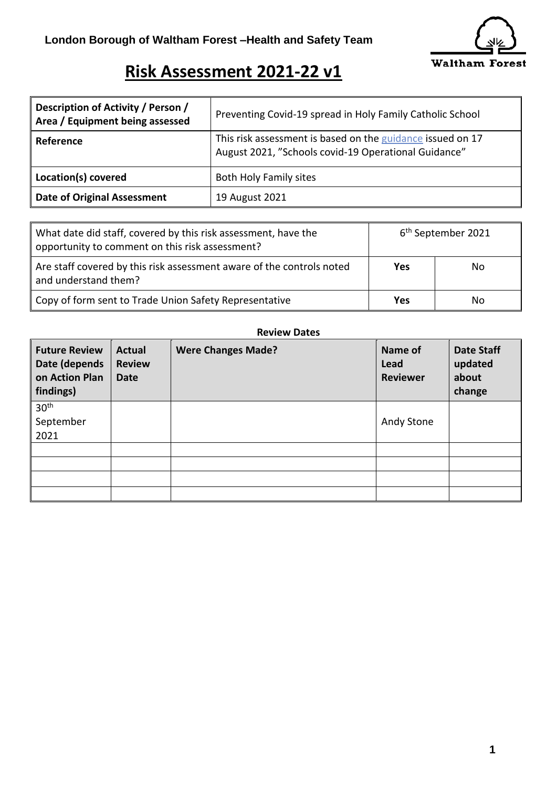

## **Risk Assessment 2021-22 v1**

| Description of Activity / Person /<br>Area / Equipment being assessed | Preventing Covid-19 spread in Holy Family Catholic School                                                          |
|-----------------------------------------------------------------------|--------------------------------------------------------------------------------------------------------------------|
| Reference                                                             | This risk assessment is based on the guidance issued on 17<br>August 2021, "Schools covid-19 Operational Guidance" |
| Location(s) covered                                                   | <b>Both Holy Family sites</b>                                                                                      |
| <b>Date of Original Assessment</b>                                    | 19 August 2021                                                                                                     |

| What date did staff, covered by this risk assessment, have the<br>opportunity to comment on this risk assessment? | 6 <sup>th</sup> September 2021 |    |
|-------------------------------------------------------------------------------------------------------------------|--------------------------------|----|
| Are staff covered by this risk assessment aware of the controls noted<br>and understand them?                     | Yes                            | No |
| Copy of form sent to Trade Union Safety Representative                                                            | Yes                            | No |

## **Review Dates**

| <b>Future Review</b><br>Date (depends<br>on Action Plan<br>findings) | <b>Actual</b><br><b>Review</b><br><b>Date</b> | <b>Were Changes Made?</b> | Name of<br>Lead<br><b>Reviewer</b> | <b>Date Staff</b><br>updated<br>about<br>change |
|----------------------------------------------------------------------|-----------------------------------------------|---------------------------|------------------------------------|-------------------------------------------------|
| 30 <sup>th</sup><br>September                                        |                                               |                           | Andy Stone                         |                                                 |
| 2021                                                                 |                                               |                           |                                    |                                                 |
|                                                                      |                                               |                           |                                    |                                                 |
|                                                                      |                                               |                           |                                    |                                                 |
|                                                                      |                                               |                           |                                    |                                                 |
|                                                                      |                                               |                           |                                    |                                                 |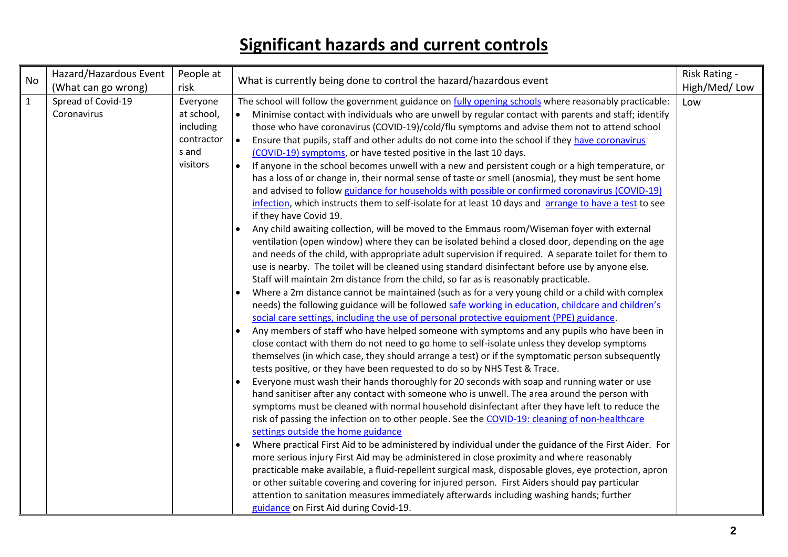## **Significant hazards and current controls**

| <b>No</b>    | Hazard/Hazardous Event<br>People at<br>What is currently being done to control the hazard/hazardous event |                                                                        | Risk Rating -                                                                                                                                                                                                                                                                                                                                                                                                                                                                                                                                                                                                                                                                                                                                                                                                                                                                                                                                                                                                                                                                                                                                                                                                                                                                                                                                                                                                                                                                                                                                                                                                                                                                                                                                                                                                                                                                                                                                                                                                                                                                                                                                                                                                                                                                                                                                                                                                                                                                                                                                                                                                                                                                                                                                                                                                                                                                                                                                                                                 |              |
|--------------|-----------------------------------------------------------------------------------------------------------|------------------------------------------------------------------------|-----------------------------------------------------------------------------------------------------------------------------------------------------------------------------------------------------------------------------------------------------------------------------------------------------------------------------------------------------------------------------------------------------------------------------------------------------------------------------------------------------------------------------------------------------------------------------------------------------------------------------------------------------------------------------------------------------------------------------------------------------------------------------------------------------------------------------------------------------------------------------------------------------------------------------------------------------------------------------------------------------------------------------------------------------------------------------------------------------------------------------------------------------------------------------------------------------------------------------------------------------------------------------------------------------------------------------------------------------------------------------------------------------------------------------------------------------------------------------------------------------------------------------------------------------------------------------------------------------------------------------------------------------------------------------------------------------------------------------------------------------------------------------------------------------------------------------------------------------------------------------------------------------------------------------------------------------------------------------------------------------------------------------------------------------------------------------------------------------------------------------------------------------------------------------------------------------------------------------------------------------------------------------------------------------------------------------------------------------------------------------------------------------------------------------------------------------------------------------------------------------------------------------------------------------------------------------------------------------------------------------------------------------------------------------------------------------------------------------------------------------------------------------------------------------------------------------------------------------------------------------------------------------------------------------------------------------------------------------------------------|--------------|
|              | (What can go wrong)                                                                                       | risk                                                                   |                                                                                                                                                                                                                                                                                                                                                                                                                                                                                                                                                                                                                                                                                                                                                                                                                                                                                                                                                                                                                                                                                                                                                                                                                                                                                                                                                                                                                                                                                                                                                                                                                                                                                                                                                                                                                                                                                                                                                                                                                                                                                                                                                                                                                                                                                                                                                                                                                                                                                                                                                                                                                                                                                                                                                                                                                                                                                                                                                                                               | High/Med/Low |
| $\mathbf{1}$ | Spread of Covid-19<br>Coronavirus                                                                         | Everyone<br>at school,<br>including<br>contractor<br>s and<br>visitors | The school will follow the government guidance on fully opening schools where reasonably practicable:<br>Minimise contact with individuals who are unwell by regular contact with parents and staff; identify<br>those who have coronavirus (COVID-19)/cold/flu symptoms and advise them not to attend school<br>• Ensure that pupils, staff and other adults do not come into the school if they have coronavirus<br>(COVID-19) symptoms, or have tested positive in the last 10 days.<br>If anyone in the school becomes unwell with a new and persistent cough or a high temperature, or<br>has a loss of or change in, their normal sense of taste or smell (anosmia), they must be sent home<br>and advised to follow guidance for households with possible or confirmed coronavirus (COVID-19)<br>infection, which instructs them to self-isolate for at least 10 days and arrange to have a test to see<br>if they have Covid 19.<br>Any child awaiting collection, will be moved to the Emmaus room/Wiseman foyer with external<br>ventilation (open window) where they can be isolated behind a closed door, depending on the age<br>and needs of the child, with appropriate adult supervision if required. A separate toilet for them to<br>use is nearby. The toilet will be cleaned using standard disinfectant before use by anyone else.<br>Staff will maintain 2m distance from the child, so far as is reasonably practicable.<br>Where a 2m distance cannot be maintained (such as for a very young child or a child with complex<br>needs) the following guidance will be followed safe working in education, childcare and children's<br>social care settings, including the use of personal protective equipment (PPE) guidance.<br>Any members of staff who have helped someone with symptoms and any pupils who have been in<br>close contact with them do not need to go home to self-isolate unless they develop symptoms<br>themselves (in which case, they should arrange a test) or if the symptomatic person subsequently<br>tests positive, or they have been requested to do so by NHS Test & Trace.<br>Everyone must wash their hands thoroughly for 20 seconds with soap and running water or use<br>hand sanitiser after any contact with someone who is unwell. The area around the person with<br>symptoms must be cleaned with normal household disinfectant after they have left to reduce the<br>risk of passing the infection on to other people. See the COVID-19: cleaning of non-healthcare<br>settings outside the home guidance<br>Where practical First Aid to be administered by individual under the guidance of the First Aider. For<br>more serious injury First Aid may be administered in close proximity and where reasonably<br>practicable make available, a fluid-repellent surgical mask, disposable gloves, eye protection, apron<br>or other suitable covering and covering for injured person. First Aiders should pay particular | Low          |
|              |                                                                                                           |                                                                        | attention to sanitation measures immediately afterwards including washing hands; further<br>guidance on First Aid during Covid-19.                                                                                                                                                                                                                                                                                                                                                                                                                                                                                                                                                                                                                                                                                                                                                                                                                                                                                                                                                                                                                                                                                                                                                                                                                                                                                                                                                                                                                                                                                                                                                                                                                                                                                                                                                                                                                                                                                                                                                                                                                                                                                                                                                                                                                                                                                                                                                                                                                                                                                                                                                                                                                                                                                                                                                                                                                                                            |              |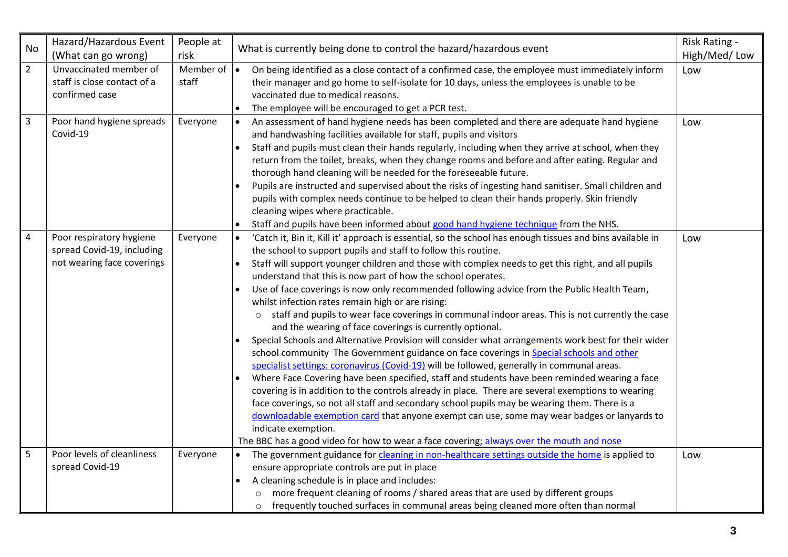| No             | Hazard/Hazardous Event<br>(What can go wrong)                                        | People at<br>risk                        | What is currently being done to control the hazard/hazardous event                                                                                                                                                                                                                                                                                                                                                                                                                                                                                                                                                                                                                                                                                                                                                                                                                                                                                                                                                                                                                                                                                                                                                                                                                                                                                                                                                                                                                                    | Risk Rating -<br>High/Med/Low |
|----------------|--------------------------------------------------------------------------------------|------------------------------------------|-------------------------------------------------------------------------------------------------------------------------------------------------------------------------------------------------------------------------------------------------------------------------------------------------------------------------------------------------------------------------------------------------------------------------------------------------------------------------------------------------------------------------------------------------------------------------------------------------------------------------------------------------------------------------------------------------------------------------------------------------------------------------------------------------------------------------------------------------------------------------------------------------------------------------------------------------------------------------------------------------------------------------------------------------------------------------------------------------------------------------------------------------------------------------------------------------------------------------------------------------------------------------------------------------------------------------------------------------------------------------------------------------------------------------------------------------------------------------------------------------------|-------------------------------|
| $\overline{2}$ | Unvaccinated member of<br>staff is close contact of a<br>confirmed case              | Member of $\vert \bullet \vert$<br>staff | On being identified as a close contact of a confirmed case, the employee must immediately inform<br>their manager and go home to self-isolate for 10 days, unless the employees is unable to be<br>vaccinated due to medical reasons.<br>The employee will be encouraged to get a PCR test.                                                                                                                                                                                                                                                                                                                                                                                                                                                                                                                                                                                                                                                                                                                                                                                                                                                                                                                                                                                                                                                                                                                                                                                                           | Low                           |
| 3              | Poor hand hygiene spreads<br>Covid-19                                                | Everyone                                 | An assessment of hand hygiene needs has been completed and there are adequate hand hygiene<br>and handwashing facilities available for staff, pupils and visitors<br>Staff and pupils must clean their hands regularly, including when they arrive at school, when they<br>return from the toilet, breaks, when they change rooms and before and after eating. Regular and<br>thorough hand cleaning will be needed for the foreseeable future.<br>Pupils are instructed and supervised about the risks of ingesting hand sanitiser. Small children and<br>pupils with complex needs continue to be helped to clean their hands properly. Skin friendly<br>cleaning wipes where practicable.<br>Staff and pupils have been informed about good hand hygiene technique from the NHS.                                                                                                                                                                                                                                                                                                                                                                                                                                                                                                                                                                                                                                                                                                                   | Low                           |
| 4              | Poor respiratory hygiene<br>spread Covid-19, including<br>not wearing face coverings | Everyone                                 | 'Catch it, Bin it, Kill it' approach is essential, so the school has enough tissues and bins available in<br>the school to support pupils and staff to follow this routine.<br>Staff will support younger children and those with complex needs to get this right, and all pupils<br>understand that this is now part of how the school operates.<br>Use of face coverings is now only recommended following advice from the Public Health Team,<br>whilst infection rates remain high or are rising:<br>$\circ$ staff and pupils to wear face coverings in communal indoor areas. This is not currently the case<br>and the wearing of face coverings is currently optional.<br>Special Schools and Alternative Provision will consider what arrangements work best for their wider<br>school community The Government guidance on face coverings in Special schools and other<br>specialist settings: coronavirus (Covid-19) will be followed, generally in communal areas.<br>Where Face Covering have been specified, staff and students have been reminded wearing a face<br>covering is in addition to the controls already in place. There are several exemptions to wearing<br>face coverings, so not all staff and secondary school pupils may be wearing them. There is a<br>downloadable exemption card that anyone exempt can use, some may wear badges or lanyards to<br>indicate exemption.<br>The BBC has a good video for how to wear a face covering; always over the mouth and nose | Low                           |
| 5              | Poor levels of cleanliness<br>spread Covid-19                                        | Everyone                                 | The government guidance for cleaning in non-healthcare settings outside the home is applied to<br>$\bullet$<br>ensure appropriate controls are put in place<br>A cleaning schedule is in place and includes:<br>$\bullet$<br>more frequent cleaning of rooms / shared areas that are used by different groups<br>$\circ$<br>frequently touched surfaces in communal areas being cleaned more often than normal<br>$\circ$                                                                                                                                                                                                                                                                                                                                                                                                                                                                                                                                                                                                                                                                                                                                                                                                                                                                                                                                                                                                                                                                             | Low                           |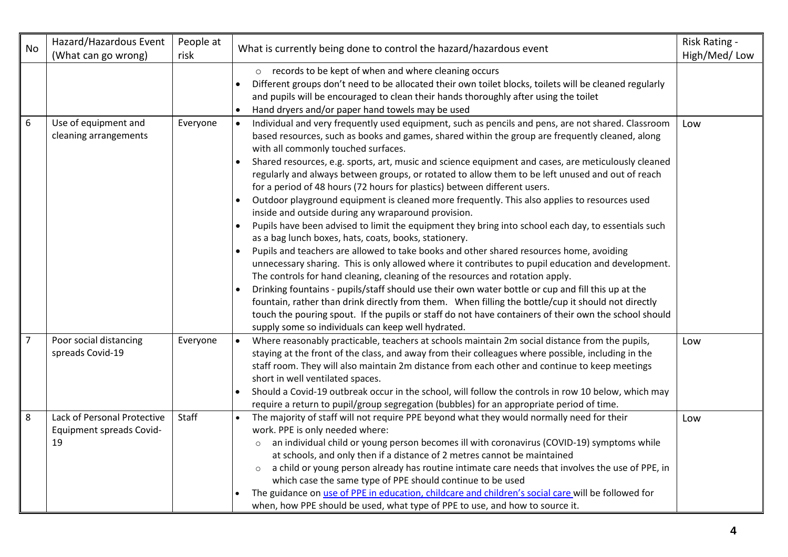| <b>No</b>      | Hazard/Hazardous Event<br>(What can go wrong)                        | People at<br>risk | What is currently being done to control the hazard/hazardous event                                                                                                                                                                                                                                                                                                                                                                                                                                                                                                                                                                                                                                                                                                                                                                                                                                                                                                                                                                                                                                                                                                                                                                                                                                                                                                                                                                                                                                                                    | Risk Rating -<br>High/Med/Low |
|----------------|----------------------------------------------------------------------|-------------------|---------------------------------------------------------------------------------------------------------------------------------------------------------------------------------------------------------------------------------------------------------------------------------------------------------------------------------------------------------------------------------------------------------------------------------------------------------------------------------------------------------------------------------------------------------------------------------------------------------------------------------------------------------------------------------------------------------------------------------------------------------------------------------------------------------------------------------------------------------------------------------------------------------------------------------------------------------------------------------------------------------------------------------------------------------------------------------------------------------------------------------------------------------------------------------------------------------------------------------------------------------------------------------------------------------------------------------------------------------------------------------------------------------------------------------------------------------------------------------------------------------------------------------------|-------------------------------|
|                |                                                                      |                   | o records to be kept of when and where cleaning occurs<br>Different groups don't need to be allocated their own toilet blocks, toilets will be cleaned regularly<br>and pupils will be encouraged to clean their hands thoroughly after using the toilet<br>Hand dryers and/or paper hand towels may be used                                                                                                                                                                                                                                                                                                                                                                                                                                                                                                                                                                                                                                                                                                                                                                                                                                                                                                                                                                                                                                                                                                                                                                                                                          |                               |
| 6              | Use of equipment and<br>cleaning arrangements                        | Everyone          | Individual and very frequently used equipment, such as pencils and pens, are not shared. Classroom<br>$\bullet$<br>based resources, such as books and games, shared within the group are frequently cleaned, along<br>with all commonly touched surfaces.<br>Shared resources, e.g. sports, art, music and science equipment and cases, are meticulously cleaned<br>regularly and always between groups, or rotated to allow them to be left unused and out of reach<br>for a period of 48 hours (72 hours for plastics) between different users.<br>Outdoor playground equipment is cleaned more frequently. This also applies to resources used<br>inside and outside during any wraparound provision.<br>Pupils have been advised to limit the equipment they bring into school each day, to essentials such<br>as a bag lunch boxes, hats, coats, books, stationery.<br>Pupils and teachers are allowed to take books and other shared resources home, avoiding<br>unnecessary sharing. This is only allowed where it contributes to pupil education and development.<br>The controls for hand cleaning, cleaning of the resources and rotation apply.<br>Drinking fountains - pupils/staff should use their own water bottle or cup and fill this up at the<br>fountain, rather than drink directly from them. When filling the bottle/cup it should not directly<br>touch the pouring spout. If the pupils or staff do not have containers of their own the school should<br>supply some so individuals can keep well hydrated. | Low                           |
| $\overline{7}$ | Poor social distancing<br>spreads Covid-19                           | Everyone          | Where reasonably practicable, teachers at schools maintain 2m social distance from the pupils,<br>staying at the front of the class, and away from their colleagues where possible, including in the<br>staff room. They will also maintain 2m distance from each other and continue to keep meetings<br>short in well ventilated spaces.<br>Should a Covid-19 outbreak occur in the school, will follow the controls in row 10 below, which may<br>require a return to pupil/group segregation (bubbles) for an appropriate period of time.                                                                                                                                                                                                                                                                                                                                                                                                                                                                                                                                                                                                                                                                                                                                                                                                                                                                                                                                                                                          | Low                           |
| 8              | Lack of Personal Protective<br><b>Equipment spreads Covid-</b><br>19 | Staff             | The majority of staff will not require PPE beyond what they would normally need for their<br>work. PPE is only needed where:<br>an individual child or young person becomes ill with coronavirus (COVID-19) symptoms while<br>$\circ$<br>at schools, and only then if a distance of 2 metres cannot be maintained<br>a child or young person already has routine intimate care needs that involves the use of PPE, in<br>$\circ$<br>which case the same type of PPE should continue to be used<br>The guidance on use of PPE in education, childcare and children's social care will be followed for<br>when, how PPE should be used, what type of PPE to use, and how to source it.                                                                                                                                                                                                                                                                                                                                                                                                                                                                                                                                                                                                                                                                                                                                                                                                                                                  | Low                           |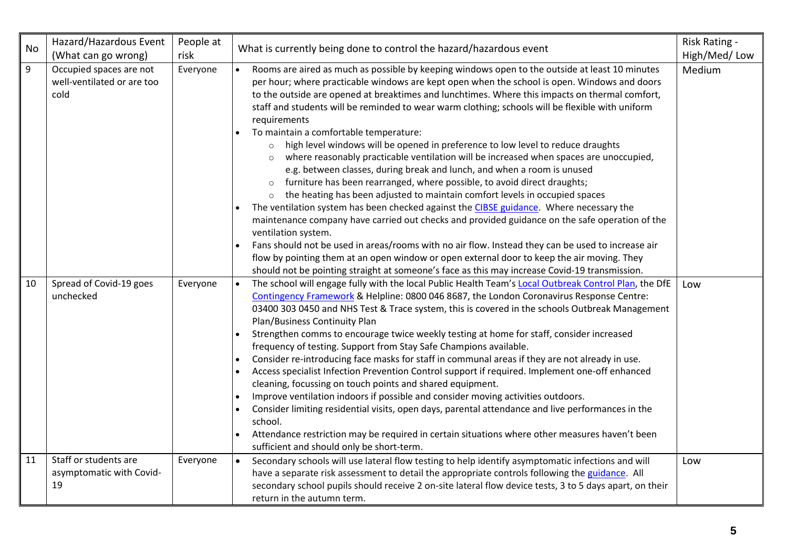| No | Hazard/Hazardous Event                                        | People at | What is currently being done to control the hazard/hazardous event                                                                                                                                                                                                                                                                                                                                                                                                                                                                                                                                                                                                                                                                                                                                                                                                                                                                                                                                                                                                                                                                                                                                                                                                                                                             | Risk Rating - |
|----|---------------------------------------------------------------|-----------|--------------------------------------------------------------------------------------------------------------------------------------------------------------------------------------------------------------------------------------------------------------------------------------------------------------------------------------------------------------------------------------------------------------------------------------------------------------------------------------------------------------------------------------------------------------------------------------------------------------------------------------------------------------------------------------------------------------------------------------------------------------------------------------------------------------------------------------------------------------------------------------------------------------------------------------------------------------------------------------------------------------------------------------------------------------------------------------------------------------------------------------------------------------------------------------------------------------------------------------------------------------------------------------------------------------------------------|---------------|
|    | (What can go wrong)                                           | risk      |                                                                                                                                                                                                                                                                                                                                                                                                                                                                                                                                                                                                                                                                                                                                                                                                                                                                                                                                                                                                                                                                                                                                                                                                                                                                                                                                | High/Med/Low  |
| 9  | Occupied spaces are not<br>well-ventilated or are too<br>cold | Everyone  | Rooms are aired as much as possible by keeping windows open to the outside at least 10 minutes<br>per hour; where practicable windows are kept open when the school is open. Windows and doors<br>to the outside are opened at breaktimes and lunchtimes. Where this impacts on thermal comfort,<br>staff and students will be reminded to wear warm clothing; schools will be flexible with uniform<br>requirements<br>To maintain a comfortable temperature:<br>high level windows will be opened in preference to low level to reduce draughts<br>$\circ$<br>where reasonably practicable ventilation will be increased when spaces are unoccupied,<br>e.g. between classes, during break and lunch, and when a room is unused<br>furniture has been rearranged, where possible, to avoid direct draughts;<br>$\circ$<br>the heating has been adjusted to maintain comfort levels in occupied spaces<br>The ventilation system has been checked against the CIBSE guidance. Where necessary the<br>maintenance company have carried out checks and provided guidance on the safe operation of the<br>ventilation system.<br>Fans should not be used in areas/rooms with no air flow. Instead they can be used to increase air<br>flow by pointing them at an open window or open external door to keep the air moving. They | Medium        |
| 10 | Spread of Covid-19 goes<br>unchecked                          | Everyone  | should not be pointing straight at someone's face as this may increase Covid-19 transmission.<br>The school will engage fully with the local Public Health Team's Local Outbreak Control Plan, the DfE<br>$\bullet$<br>Contingency Framework & Helpline: 0800 046 8687, the London Coronavirus Response Centre:<br>03400 303 0450 and NHS Test & Trace system, this is covered in the schools Outbreak Management<br>Plan/Business Continuity Plan<br>Strengthen comms to encourage twice weekly testing at home for staff, consider increased<br>frequency of testing. Support from Stay Safe Champions available.<br>Consider re-introducing face masks for staff in communal areas if they are not already in use.<br>Access specialist Infection Prevention Control support if required. Implement one-off enhanced<br>cleaning, focussing on touch points and shared equipment.<br>Improve ventilation indoors if possible and consider moving activities outdoors.<br>Consider limiting residential visits, open days, parental attendance and live performances in the<br>school.<br>Attendance restriction may be required in certain situations where other measures haven't been<br>sufficient and should only be short-term.                                                                                        | Low           |
| 11 | Staff or students are<br>asymptomatic with Covid-<br>19       | Everyone  | Secondary schools will use lateral flow testing to help identify asymptomatic infections and will<br>$\bullet$<br>have a separate risk assessment to detail the appropriate controls following the guidance. All<br>secondary school pupils should receive 2 on-site lateral flow device tests, 3 to 5 days apart, on their<br>return in the autumn term.                                                                                                                                                                                                                                                                                                                                                                                                                                                                                                                                                                                                                                                                                                                                                                                                                                                                                                                                                                      | Low           |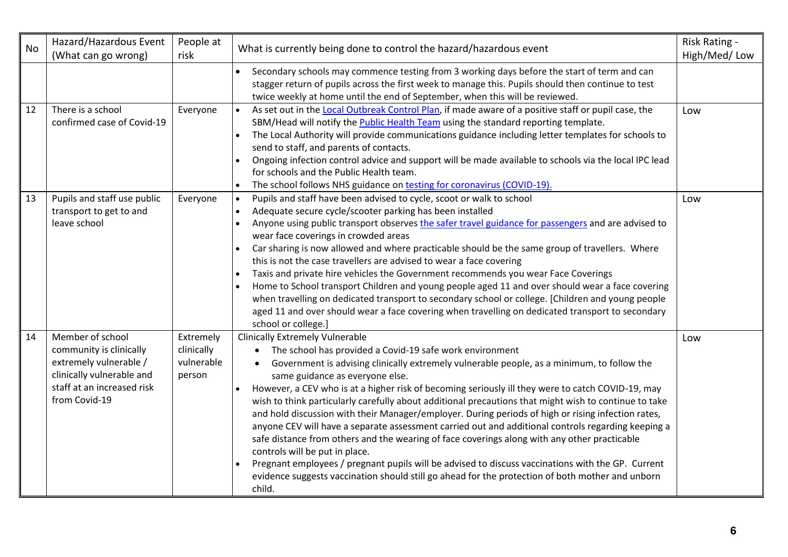| <b>No</b> | Hazard/Hazardous Event<br>(What can go wrong)                                                                                                     | People at<br>risk                               | What is currently being done to control the hazard/hazardous event                                                                                                                                                                                                                                                                                                                                                                                                                                                                                                                                                                                                                                                                                                                                                                                                                                                                                                                                                 | Risk Rating -<br>High/Med/Low |
|-----------|---------------------------------------------------------------------------------------------------------------------------------------------------|-------------------------------------------------|--------------------------------------------------------------------------------------------------------------------------------------------------------------------------------------------------------------------------------------------------------------------------------------------------------------------------------------------------------------------------------------------------------------------------------------------------------------------------------------------------------------------------------------------------------------------------------------------------------------------------------------------------------------------------------------------------------------------------------------------------------------------------------------------------------------------------------------------------------------------------------------------------------------------------------------------------------------------------------------------------------------------|-------------------------------|
|           |                                                                                                                                                   |                                                 | Secondary schools may commence testing from 3 working days before the start of term and can<br>stagger return of pupils across the first week to manage this. Pupils should then continue to test<br>twice weekly at home until the end of September, when this will be reviewed.                                                                                                                                                                                                                                                                                                                                                                                                                                                                                                                                                                                                                                                                                                                                  |                               |
| 12        | There is a school<br>confirmed case of Covid-19                                                                                                   | Everyone                                        | As set out in the Local Outbreak Control Plan, if made aware of a positive staff or pupil case, the<br>$\bullet$<br>SBM/Head will notify the <b>Public Health Team</b> using the standard reporting template.<br>The Local Authority will provide communications guidance including letter templates for schools to<br>send to staff, and parents of contacts.<br>Ongoing infection control advice and support will be made available to schools via the local IPC lead<br>for schools and the Public Health team.<br>The school follows NHS guidance on testing for coronavirus (COVID-19).                                                                                                                                                                                                                                                                                                                                                                                                                       | Low                           |
| 13        | Pupils and staff use public<br>transport to get to and<br>leave school                                                                            | Everyone                                        | Pupils and staff have been advised to cycle, scoot or walk to school<br>$\bullet$<br>Adequate secure cycle/scooter parking has been installed<br>Anyone using public transport observes the safer travel guidance for passengers and are advised to<br>wear face coverings in crowded areas<br>Car sharing is now allowed and where practicable should be the same group of travellers. Where<br>this is not the case travellers are advised to wear a face covering<br>Taxis and private hire vehicles the Government recommends you wear Face Coverings<br>Home to School transport Children and young people aged 11 and over should wear a face covering<br>when travelling on dedicated transport to secondary school or college. [Children and young people<br>aged 11 and over should wear a face covering when travelling on dedicated transport to secondary<br>school or college.]                                                                                                                       | Low                           |
| 14        | Member of school<br>community is clinically<br>extremely vulnerable /<br>clinically vulnerable and<br>staff at an increased risk<br>from Covid-19 | Extremely<br>clinically<br>vulnerable<br>person | <b>Clinically Extremely Vulnerable</b><br>The school has provided a Covid-19 safe work environment<br>Government is advising clinically extremely vulnerable people, as a minimum, to follow the<br>same guidance as everyone else.<br>However, a CEV who is at a higher risk of becoming seriously ill they were to catch COVID-19, may<br>wish to think particularly carefully about additional precautions that might wish to continue to take<br>and hold discussion with their Manager/employer. During periods of high or rising infection rates,<br>anyone CEV will have a separate assessment carried out and additional controls regarding keeping a<br>safe distance from others and the wearing of face coverings along with any other practicable<br>controls will be put in place.<br>Pregnant employees / pregnant pupils will be advised to discuss vaccinations with the GP. Current<br>evidence suggests vaccination should still go ahead for the protection of both mother and unborn<br>child. | Low                           |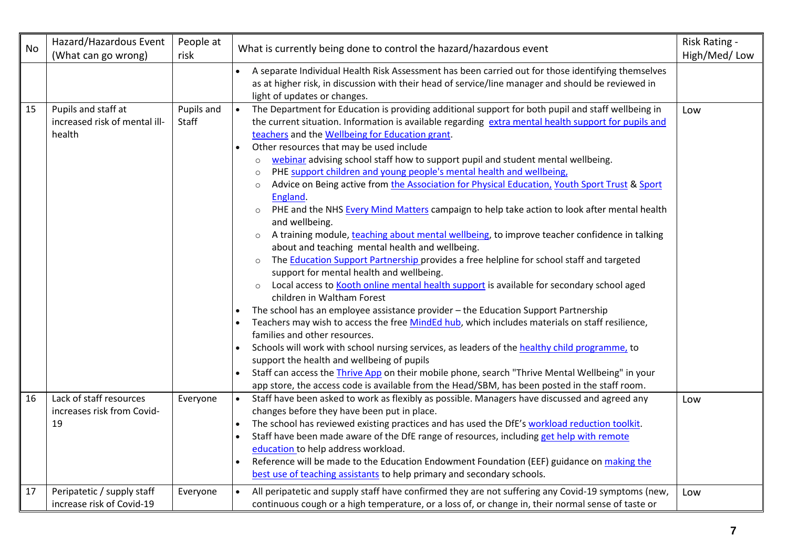| No | Hazard/Hazardous Event<br>(What can go wrong)                  | People at<br>risk   | What is currently being done to control the hazard/hazardous event                                                                                                                                                                                                                                                                                                                                                                                                                                                                                                                                                                                                                                                                                                                                                                                                                                                                                                                                                                                                                                                                                                                                                                                                                                                                                                                                                                                                                                                                                                                                                                                                                                                                                              | Risk Rating -<br>High/Med/Low |
|----|----------------------------------------------------------------|---------------------|-----------------------------------------------------------------------------------------------------------------------------------------------------------------------------------------------------------------------------------------------------------------------------------------------------------------------------------------------------------------------------------------------------------------------------------------------------------------------------------------------------------------------------------------------------------------------------------------------------------------------------------------------------------------------------------------------------------------------------------------------------------------------------------------------------------------------------------------------------------------------------------------------------------------------------------------------------------------------------------------------------------------------------------------------------------------------------------------------------------------------------------------------------------------------------------------------------------------------------------------------------------------------------------------------------------------------------------------------------------------------------------------------------------------------------------------------------------------------------------------------------------------------------------------------------------------------------------------------------------------------------------------------------------------------------------------------------------------------------------------------------------------|-------------------------------|
|    |                                                                |                     | A separate Individual Health Risk Assessment has been carried out for those identifying themselves<br>as at higher risk, in discussion with their head of service/line manager and should be reviewed in<br>light of updates or changes.                                                                                                                                                                                                                                                                                                                                                                                                                                                                                                                                                                                                                                                                                                                                                                                                                                                                                                                                                                                                                                                                                                                                                                                                                                                                                                                                                                                                                                                                                                                        |                               |
| 15 | Pupils and staff at<br>increased risk of mental ill-<br>health | Pupils and<br>Staff | The Department for Education is providing additional support for both pupil and staff wellbeing in<br>the current situation. Information is available regarding extra mental health support for pupils and<br>teachers and the Wellbeing for Education grant.<br>Other resources that may be used include<br>webinar advising school staff how to support pupil and student mental wellbeing.<br>$\circ$<br>PHE support children and young people's mental health and wellbeing,<br>Advice on Being active from the Association for Physical Education, Youth Sport Trust & Sport<br>England.<br>PHE and the NHS Every Mind Matters campaign to help take action to look after mental health<br>$\circ$<br>and wellbeing.<br>A training module, teaching about mental wellbeing, to improve teacher confidence in talking<br>$\circ$<br>about and teaching mental health and wellbeing.<br>The <b>Education Support Partnership provides</b> a free helpline for school staff and targeted<br>support for mental health and wellbeing.<br>Local access to Kooth online mental health support is available for secondary school aged<br>$\circ$<br>children in Waltham Forest<br>The school has an employee assistance provider - the Education Support Partnership<br>Teachers may wish to access the free MindEd hub, which includes materials on staff resilience,<br>families and other resources.<br>Schools will work with school nursing services, as leaders of the healthy child programme, to<br>support the health and wellbeing of pupils<br>Staff can access the <i>Thrive App</i> on their mobile phone, search "Thrive Mental Wellbeing" in your<br>app store, the access code is available from the Head/SBM, has been posted in the staff room. | Low                           |
| 16 | Lack of staff resources<br>increases risk from Covid-<br>19    | Everyone            | Staff have been asked to work as flexibly as possible. Managers have discussed and agreed any<br>changes before they have been put in place.<br>The school has reviewed existing practices and has used the DfE's workload reduction toolkit.<br>Staff have been made aware of the DfE range of resources, including get help with remote<br>education to help address workload.<br>Reference will be made to the Education Endowment Foundation (EEF) guidance on making the<br>best use of teaching assistants to help primary and secondary schools.                                                                                                                                                                                                                                                                                                                                                                                                                                                                                                                                                                                                                                                                                                                                                                                                                                                                                                                                                                                                                                                                                                                                                                                                         | Low                           |
| 17 | Peripatetic / supply staff<br>increase risk of Covid-19        | Everyone            | All peripatetic and supply staff have confirmed they are not suffering any Covid-19 symptoms (new,<br>continuous cough or a high temperature, or a loss of, or change in, their normal sense of taste or                                                                                                                                                                                                                                                                                                                                                                                                                                                                                                                                                                                                                                                                                                                                                                                                                                                                                                                                                                                                                                                                                                                                                                                                                                                                                                                                                                                                                                                                                                                                                        | Low                           |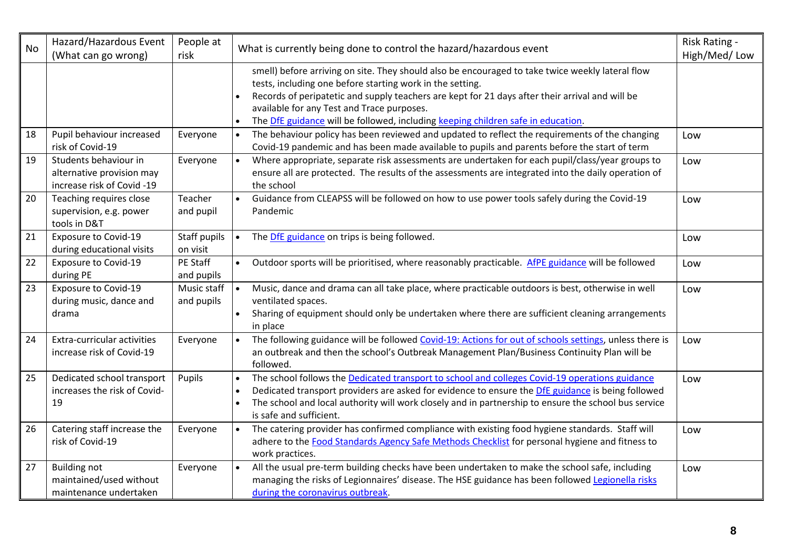| No | Hazard/Hazardous Event<br>(What can go wrong)                                    | People at<br>risk         | What is currently being done to control the hazard/hazardous event                                                                                                                                                                                                                                                                                                                                 | Risk Rating -<br>High/Med/Low |
|----|----------------------------------------------------------------------------------|---------------------------|----------------------------------------------------------------------------------------------------------------------------------------------------------------------------------------------------------------------------------------------------------------------------------------------------------------------------------------------------------------------------------------------------|-------------------------------|
|    |                                                                                  |                           | smell) before arriving on site. They should also be encouraged to take twice weekly lateral flow<br>tests, including one before starting work in the setting.<br>Records of peripatetic and supply teachers are kept for 21 days after their arrival and will be<br>available for any Test and Trace purposes.<br>The DfE guidance will be followed, including keeping children safe in education. |                               |
| 18 | Pupil behaviour increased<br>risk of Covid-19                                    | Everyone                  | The behaviour policy has been reviewed and updated to reflect the requirements of the changing<br>$\bullet$<br>Covid-19 pandemic and has been made available to pupils and parents before the start of term                                                                                                                                                                                        | Low                           |
| 19 | Students behaviour in<br>alternative provision may<br>increase risk of Covid -19 | Everyone                  | Where appropriate, separate risk assessments are undertaken for each pupil/class/year groups to<br>$\bullet$<br>ensure all are protected. The results of the assessments are integrated into the daily operation of<br>the school                                                                                                                                                                  | Low                           |
| 20 | Teaching requires close<br>supervision, e.g. power<br>tools in D&T               | Teacher<br>and pupil      | Guidance from CLEAPSS will be followed on how to use power tools safely during the Covid-19<br>Pandemic                                                                                                                                                                                                                                                                                            | Low                           |
| 21 | <b>Exposure to Covid-19</b><br>during educational visits                         | Staff pupils<br>on visit  | The DfE guidance on trips is being followed.<br>$\bullet$                                                                                                                                                                                                                                                                                                                                          | Low                           |
| 22 | <b>Exposure to Covid-19</b><br>during PE                                         | PE Staff<br>and pupils    | Outdoor sports will be prioritised, where reasonably practicable. AfPE guidance will be followed                                                                                                                                                                                                                                                                                                   | Low                           |
| 23 | Exposure to Covid-19<br>during music, dance and<br>drama                         | Music staff<br>and pupils | Music, dance and drama can all take place, where practicable outdoors is best, otherwise in well<br>ventilated spaces.<br>Sharing of equipment should only be undertaken where there are sufficient cleaning arrangements<br>in place                                                                                                                                                              | Low                           |
| 24 | Extra-curricular activities<br>increase risk of Covid-19                         | Everyone                  | The following guidance will be followed Covid-19: Actions for out of schools settings, unless there is<br>an outbreak and then the school's Outbreak Management Plan/Business Continuity Plan will be<br>followed.                                                                                                                                                                                 | Low                           |
| 25 | Dedicated school transport<br>increases the risk of Covid-<br>19                 | Pupils                    | The school follows the Dedicated transport to school and colleges Covid-19 operations guidance<br>Dedicated transport providers are asked for evidence to ensure the DfE guidance is being followed<br>The school and local authority will work closely and in partnership to ensure the school bus service<br>is safe and sufficient.                                                             | Low                           |
| 26 | Catering staff increase the<br>risk of Covid-19                                  | Everyone                  | The catering provider has confirmed compliance with existing food hygiene standards. Staff will<br>adhere to the Food Standards Agency Safe Methods Checklist for personal hygiene and fitness to<br>work practices.                                                                                                                                                                               | Low                           |
| 27 | <b>Building not</b><br>maintained/used without<br>maintenance undertaken         | Everyone                  | All the usual pre-term building checks have been undertaken to make the school safe, including<br>$\bullet$<br>managing the risks of Legionnaires' disease. The HSE guidance has been followed Legionella risks<br>during the coronavirus outbreak.                                                                                                                                                | Low                           |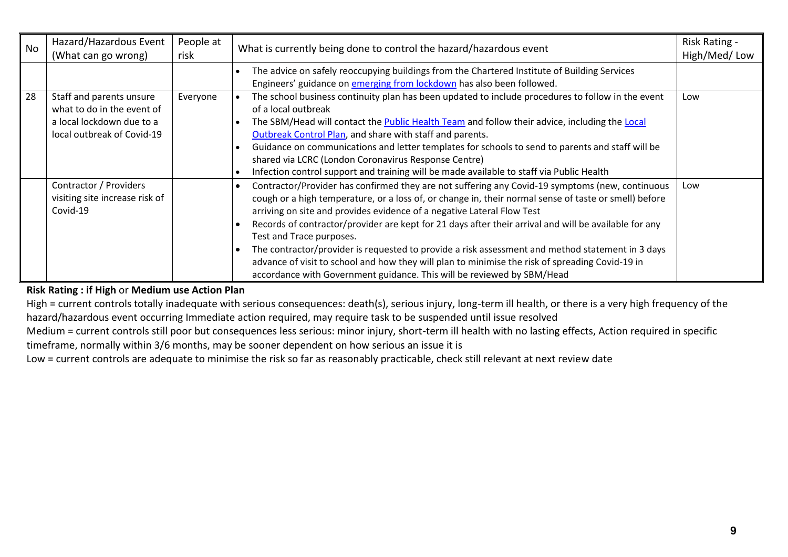| <b>No</b> | Hazard/Hazardous Event<br>(What can go wrong)                                                                     | People at<br>risk | What is currently being done to control the hazard/hazardous event                                                                                                                                                                                                                                                                                                                                                                                                                                                                                                                                                                                                                                       | Risk Rating -<br>High/Med/Low |
|-----------|-------------------------------------------------------------------------------------------------------------------|-------------------|----------------------------------------------------------------------------------------------------------------------------------------------------------------------------------------------------------------------------------------------------------------------------------------------------------------------------------------------------------------------------------------------------------------------------------------------------------------------------------------------------------------------------------------------------------------------------------------------------------------------------------------------------------------------------------------------------------|-------------------------------|
|           |                                                                                                                   |                   | The advice on safely reoccupying buildings from the Chartered Institute of Building Services<br>Engineers' guidance on emerging from lockdown has also been followed.                                                                                                                                                                                                                                                                                                                                                                                                                                                                                                                                    |                               |
| 28        | Staff and parents unsure<br>what to do in the event of<br>a local lockdown due to a<br>local outbreak of Covid-19 | Everyone          | The school business continuity plan has been updated to include procedures to follow in the event<br>of a local outbreak<br>The SBM/Head will contact the Public Health Team and follow their advice, including the Local<br>Outbreak Control Plan, and share with staff and parents.<br>Guidance on communications and letter templates for schools to send to parents and staff will be<br>shared via LCRC (London Coronavirus Response Centre)<br>Infection control support and training will be made available to staff via Public Health                                                                                                                                                            | Low                           |
|           | Contractor / Providers<br>visiting site increase risk of<br>Covid-19                                              |                   | Contractor/Provider has confirmed they are not suffering any Covid-19 symptoms (new, continuous<br>cough or a high temperature, or a loss of, or change in, their normal sense of taste or smell) before<br>arriving on site and provides evidence of a negative Lateral Flow Test<br>Records of contractor/provider are kept for 21 days after their arrival and will be available for any<br>Test and Trace purposes.<br>The contractor/provider is requested to provide a risk assessment and method statement in 3 days<br>advance of visit to school and how they will plan to minimise the risk of spreading Covid-19 in<br>accordance with Government guidance. This will be reviewed by SBM/Head | Low                           |

**Risk Rating : if High** or **Medium use Action Plan**

High = current controls totally inadequate with serious consequences: death(s), serious injury, long-term ill health, or there is a very high frequency of the hazard/hazardous event occurring Immediate action required, may require task to be suspended until issue resolved

Medium = current controls still poor but consequences less serious: minor injury, short-term ill health with no lasting effects, Action required in specific timeframe, normally within 3/6 months, may be sooner dependent on how serious an issue it is

Low = current controls are adequate to minimise the risk so far as reasonably practicable, check still relevant at next review date